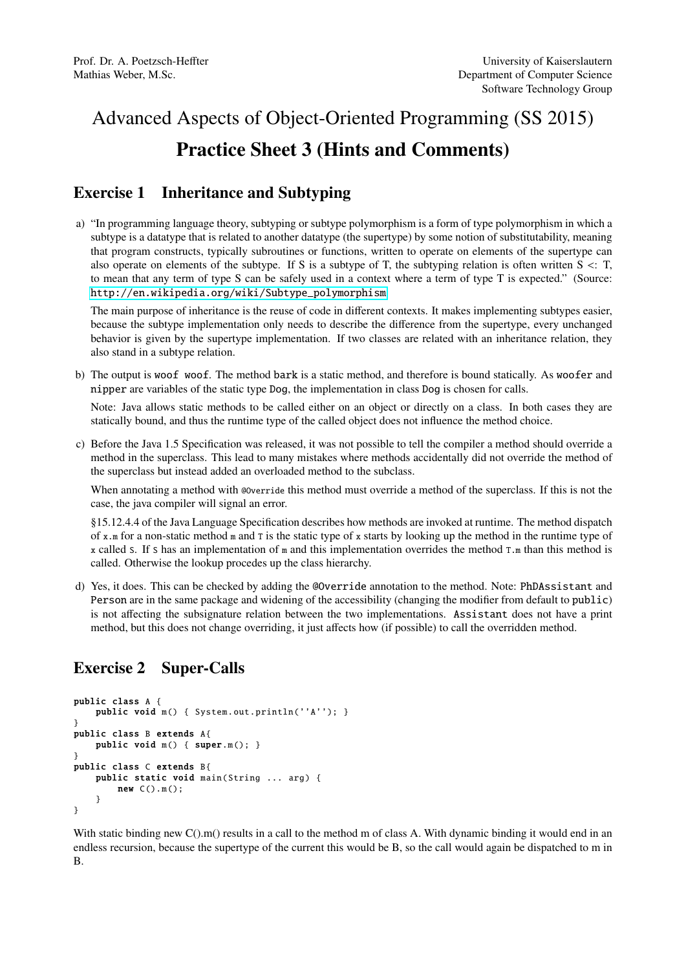# Advanced Aspects of Object-Oriented Programming (SS 2015) Practice Sheet 3 (Hints and Comments)

### Exercise 1 Inheritance and Subtyping

a) "In programming language theory, subtyping or subtype polymorphism is a form of type polymorphism in which a subtype is a datatype that is related to another datatype (the supertype) by some notion of substitutability, meaning that program constructs, typically subroutines or functions, written to operate on elements of the supertype can also operate on elements of the subtype. If S is a subtype of T, the subtyping relation is often written  $S \lt: T$ , to mean that any term of type S can be safely used in a context where a term of type T is expected." (Source: [http://en.wikipedia.org/wiki/Subtype\\_polymorphism](http://en.wikipedia.org/wiki/Subtype_polymorphism)

The main purpose of inheritance is the reuse of code in different contexts. It makes implementing subtypes easier, because the subtype implementation only needs to describe the difference from the supertype, every unchanged behavior is given by the supertype implementation. If two classes are related with an inheritance relation, they also stand in a subtype relation.

b) The output is woof woof. The method bark is a static method, and therefore is bound statically. As woofer and nipper are variables of the static type Dog, the implementation in class Dog is chosen for calls.

Note: Java allows static methods to be called either on an object or directly on a class. In both cases they are statically bound, and thus the runtime type of the called object does not influence the method choice.

c) Before the Java 1.5 Specification was released, it was not possible to tell the compiler a method should override a method in the superclass. This lead to many mistakes where methods accidentally did not override the method of the superclass but instead added an overloaded method to the subclass.

When annotating a method with @override this method must override a method of the superclass. If this is not the case, the java compiler will signal an error.

§15.12.4.4 of the Java Language Specification describes how methods are invoked at runtime. The method dispatch of x.m for a non-static method m and T is the static type of x starts by looking up the method in the runtime type of x called S. If S has an implementation of  $m$  and this implementation overrides the method  $T \cdot m$  than this method is called. Otherwise the lookup procedes up the class hierarchy.

d) Yes, it does. This can be checked by adding the @Override annotation to the method. Note: PhDAssistant and Person are in the same package and widening of the accessibility (changing the modifier from default to public) is not affecting the subsignature relation between the two implementations. Assistant does not have a print method, but this does not change overriding, it just affects how (if possible) to call the overridden method.

## Exercise 2 Super-Calls

```
public class A {
   public void m() { System.out.println(''A''); }
}
public class B extends A{
   public void m() { super.m(); }
}
public class C extends B{
   public static void main(String ... arg) {
       new C().m();
    }
}
```
With static binding new  $C($ ).m() results in a call to the method m of class A. With dynamic binding it would end in an endless recursion, because the supertype of the current this would be B, so the call would again be dispatched to m in B.